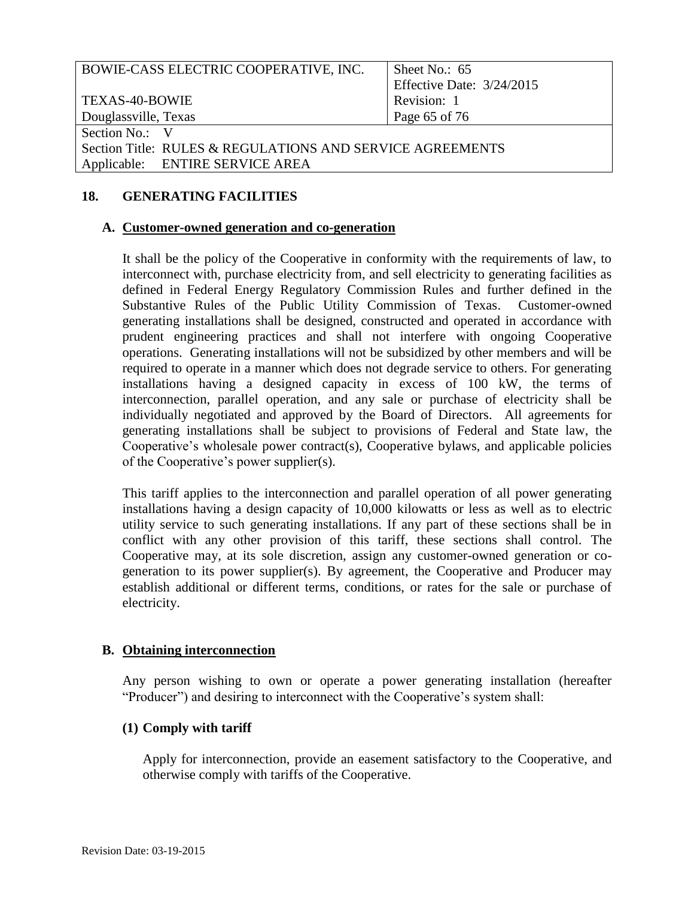| BOWIE-CASS ELECTRIC COOPERATIVE, INC.                     | Sheet No.: $65$           |
|-----------------------------------------------------------|---------------------------|
|                                                           | Effective Date: 3/24/2015 |
| TEXAS-40-BOWIE                                            | Revision: 1               |
| Douglassville, Texas                                      | Page 65 of 76             |
| Section No.: V                                            |                           |
| Section Title: RULES & REGULATIONS AND SERVICE AGREEMENTS |                           |
| Applicable: ENTIRE SERVICE AREA                           |                           |
|                                                           |                           |

# **18. GENERATING FACILITIES**

#### **A. Customer-owned generation and co-generation**

 It shall be the policy of the Cooperative in conformity with the requirements of law, to interconnect with, purchase electricity from, and sell electricity to generating facilities as defined in Federal Energy Regulatory Commission Rules and further defined in the Substantive Rules of the Public Utility Commission of Texas. Customer-owned prudent engineering practices and shall not interfere with ongoing Cooperative operations. Generating installations will not be subsidized by other members and will be required to operate in a manner which does not degrade service to others. For generating installations having a designed capacity in excess of 100 kW, the terms of interconnection, parallel operation, and any sale or purchase of electricity shall be individually negotiated and approved by the Board of Directors. All agreements for generating installations shall be subject to provisions of Federal and State law, the Cooperative's wholesale power contract(s), Cooperative bylaws, and applicable policies generating installations shall be designed, constructed and operated in accordance with of the Cooperative's power supplier(s).

 This tariff applies to the interconnection and parallel operation of all power generating installations having a design capacity of 10,000 kilowatts or less as well as to electric utility service to such generating installations. If any part of these sections shall be in conflict with any other provision of this tariff, these sections shall control. The Cooperative may, at its sole discretion, assign any customer-owned generation or co- establish additional or different terms, conditions, or rates for the sale or purchase of generation to its power supplier(s). By agreement, the Cooperative and Producer may electricity.

# **B. Obtaining interconnection**

 Any person wishing to own or operate a power generating installation (hereafter "Producer") and desiring to interconnect with the Cooperative's system shall:

# **(1) Comply with tariff**

 Apply for interconnection, provide an easement satisfactory to the Cooperative, and otherwise comply with tariffs of the Cooperative.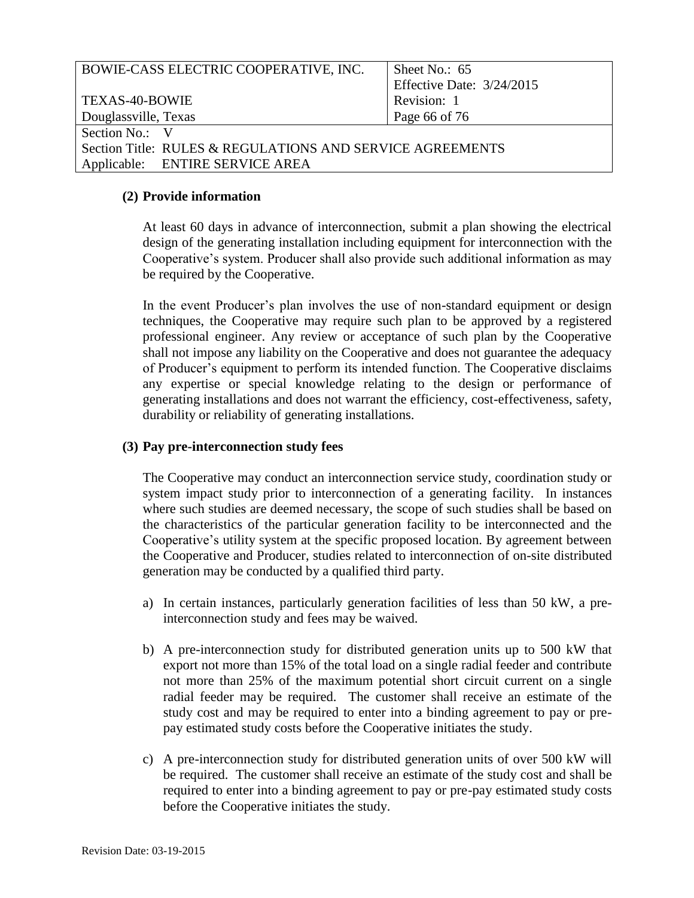| BOWIE-CASS ELECTRIC COOPERATIVE, INC.                     | Sheet No.: 65             |
|-----------------------------------------------------------|---------------------------|
|                                                           | Effective Date: 3/24/2015 |
| TEXAS-40-BOWIE                                            | Revision: 1               |
| Douglassville, Texas                                      | Page 66 of 76             |
| Section No.: V                                            |                           |
| Section Title: RULES & REGULATIONS AND SERVICE AGREEMENTS |                           |
| Applicable: ENTIRE SERVICE AREA                           |                           |

#### **(2) Provide information**

 At least 60 days in advance of interconnection, submit a plan showing the electrical design of the generating installation including equipment for interconnection with the Cooperative's system. Producer shall also provide such additional information as may be required by the Cooperative.

 In the event Producer's plan involves the use of non-standard equipment or design techniques, the Cooperative may require such plan to be approved by a registered professional engineer. Any review or acceptance of such plan by the Cooperative shall not impose any liability on the Cooperative and does not guarantee the adequacy of Producer's equipment to perform its intended function. The Cooperative disclaims any expertise or special knowledge relating to the design or performance of generating installations and does not warrant the efficiency, cost-effectiveness, safety, durability or reliability of generating installations.

#### **(3) Pay pre-interconnection study fees**

 The Cooperative may conduct an interconnection service study, coordination study or system impact study prior to interconnection of a generating facility. In instances where such studies are deemed necessary, the scope of such studies shall be based on the characteristics of the particular generation facility to be interconnected and the the Cooperative and Producer, studies related to interconnection of on-site distributed Cooperative's utility system at the specific proposed location. By agreement between generation may be conducted by a qualified third party.

- a) In certain instances, particularly generation facilities of less than 50 kW, a pre-interconnection study and fees may be waived.
- b) A pre-interconnection study for distributed generation units up to 500 kW that export not more than 15% of the total load on a single radial feeder and contribute not more than 25% of the maximum potential short circuit current on a single radial feeder may be required. The customer shall receive an estimate of the study cost and may be required to enter into a binding agreement to pay or pre-pay estimated study costs before the Cooperative initiates the study.
- c) A pre-interconnection study for distributed generation units of over 500 kW will be required. The customer shall receive an estimate of the study cost and shall be required to enter into a binding agreement to pay or pre-pay estimated study costs before the Cooperative initiates the study.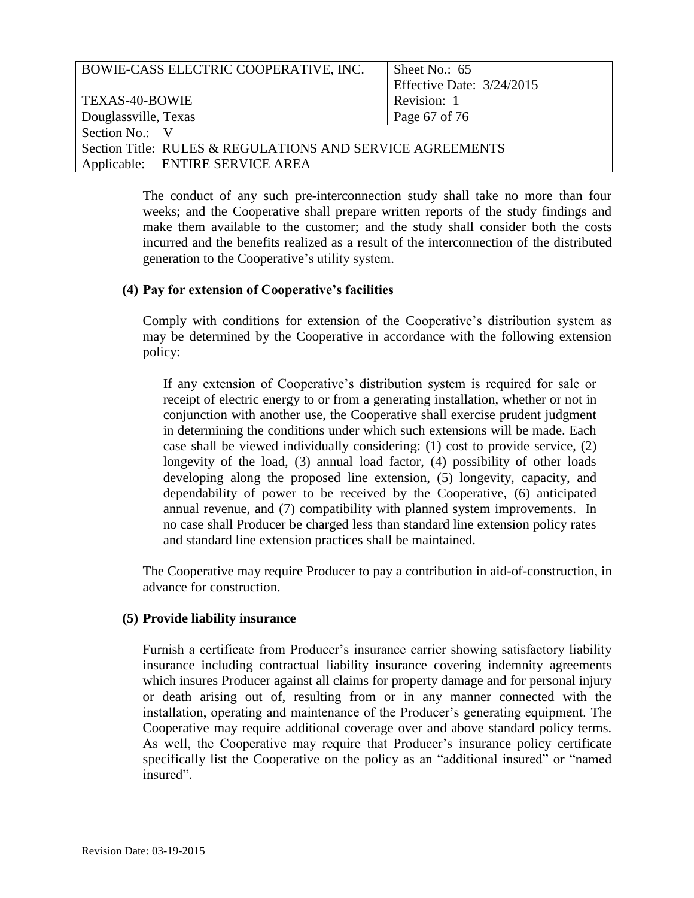| BOWIE-CASS ELECTRIC COOPERATIVE, INC.                     | Sheet No.: 65             |
|-----------------------------------------------------------|---------------------------|
|                                                           | Effective Date: 3/24/2015 |
| TEXAS-40-BOWIE                                            | Revision: 1               |
| Douglassville, Texas                                      | Page 67 of 76             |
| Section No.: V                                            |                           |
| Section Title: RULES & REGULATIONS AND SERVICE AGREEMENTS |                           |
| Applicable: ENTIRE SERVICE AREA                           |                           |

 The conduct of any such pre-interconnection study shall take no more than four weeks; and the Cooperative shall prepare written reports of the study findings and make them available to the customer; and the study shall consider both the costs incurred and the benefits realized as a result of the interconnection of the distributed generation to the Cooperative's utility system.

# **(4) Pay for extension of Cooperative's facilities**

 Comply with conditions for extension of the Cooperative's distribution system as may be determined by the Cooperative in accordance with the following extension policy:

 If any extension of Cooperative's distribution system is required for sale or receipt of electric energy to or from a generating installation, whether or not in conjunction with another use, the Cooperative shall exercise prudent judgment in determining the conditions under which such extensions will be made. Each case shall be viewed individually considering: (1) cost to provide service, (2) longevity of the load, (3) annual load factor, (4) possibility of other loads developing along the proposed line extension, (5) longevity, capacity, and dependability of power to be received by the Cooperative, (6) anticipated annual revenue, and (7) compatibility with planned system improvements. In no case shall Producer be charged less than standard line extension policy rates and standard line extension practices shall be maintained.

 and standard line extension practices shall be maintained. The Cooperative may require Producer to pay a contribution in aid-of-construction, in advance for construction.

#### **(5) Provide liability insurance**

 Furnish a certificate from Producer's insurance carrier showing satisfactory liability insurance including contractual liability insurance covering indemnity agreements which insures Producer against all claims for property damage and for personal injury or death arising out of, resulting from or in any manner connected with the installation, operating and maintenance of the Producer's generating equipment. The Cooperative may require additional coverage over and above standard policy terms. As well, the Cooperative may require that Producer's insurance policy certificate specifically list the Cooperative on the policy as an "additional insured" or "named insured".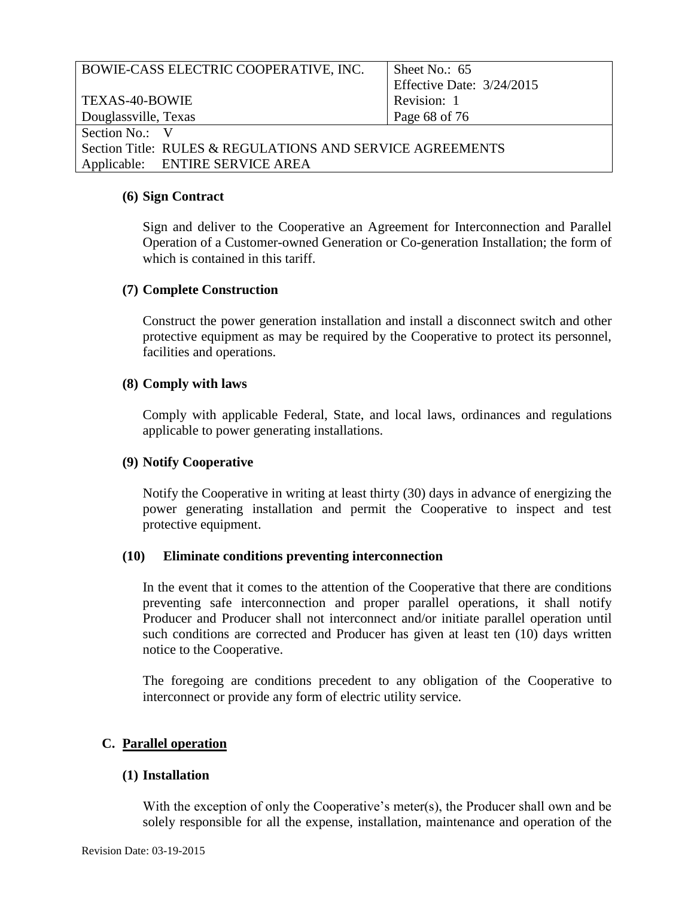| BOWIE-CASS ELECTRIC COOPERATIVE, INC.                     | Sheet No.: $65$           |
|-----------------------------------------------------------|---------------------------|
|                                                           | Effective Date: 3/24/2015 |
| <b>TEXAS-40-BOWIE</b>                                     | Revision: 1               |
| Douglassville, Texas                                      | Page 68 of 76             |
| Section No.: V                                            |                           |
| Section Title: RULES & REGULATIONS AND SERVICE AGREEMENTS |                           |
| Applicable: ENTIRE SERVICE AREA                           |                           |

#### **(6) Sign Contract**

 Sign and deliver to the Cooperative an Agreement for Interconnection and Parallel Operation of a Customer-owned Generation or Co-generation Installation; the form of which is contained in this tariff.

#### **(7) Complete Construction**

 Construct the power generation installation and install a disconnect switch and other protective equipment as may be required by the Cooperative to protect its personnel, facilities and operations.

#### **(8) Comply with laws**

 Comply with applicable Federal, State, and local laws, ordinances and regulations applicable to power generating installations.

# **(9) Notify Cooperative**

Notify the Cooperative in writing at least thirty (30) days in advance of energizing the power generating installation and permit the Cooperative to inspect and test protective equipment.

# **(10) Eliminate conditions preventing interconnection**

 In the event that it comes to the attention of the Cooperative that there are conditions preventing safe interconnection and proper parallel operations, it shall notify Producer and Producer shall not interconnect and/or initiate parallel operation until such conditions are corrected and Producer has given at least ten (10) days written notice to the Cooperative.

 The foregoing are conditions precedent to any obligation of the Cooperative to interconnect or provide any form of electric utility service.

# **C. Parallel operation**

#### **(1) Installation**

 With the exception of only the Cooperative's meter(s), the Producer shall own and be solely responsible for all the expense, installation, maintenance and operation of the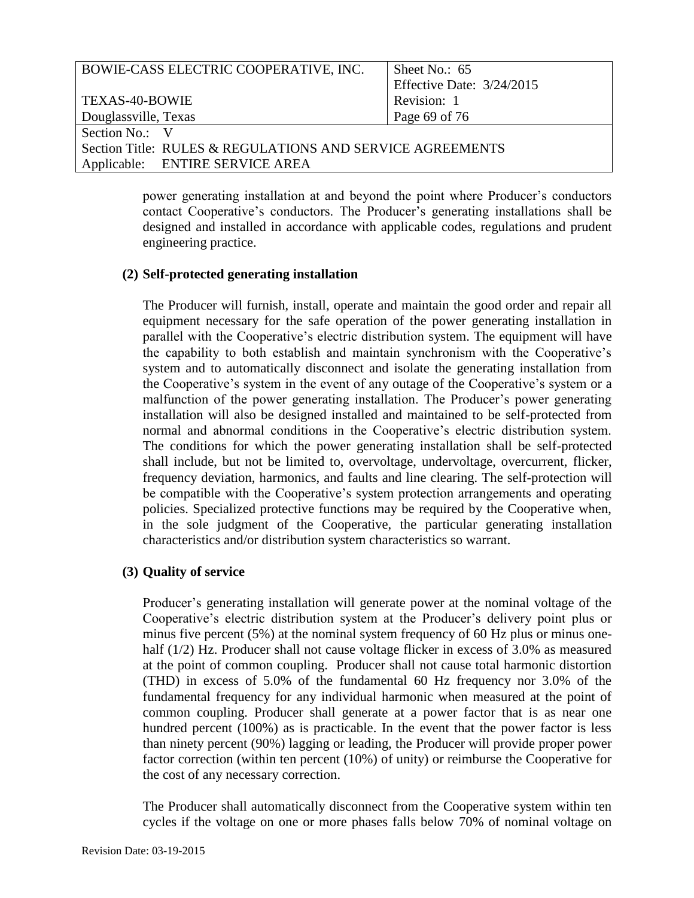| BOWIE-CASS ELECTRIC COOPERATIVE, INC.                     | Sheet No.: 65             |
|-----------------------------------------------------------|---------------------------|
|                                                           |                           |
|                                                           | Effective Date: 3/24/2015 |
| TEXAS-40-BOWIE                                            | Revision: 1               |
|                                                           |                           |
| Douglassville, Texas                                      | Page 69 of 76             |
|                                                           |                           |
| Section No.: V                                            |                           |
| Section Title: RULES & REGULATIONS AND SERVICE AGREEMENTS |                           |
|                                                           |                           |
| Applicable: ENTIRE SERVICE AREA                           |                           |
|                                                           |                           |

 power generating installation at and beyond the point where Producer's conductors contact Cooperative's conductors. The Producer's generating installations shall be designed and installed in accordance with applicable codes, regulations and prudent engineering practice.

# **(2) Self-protected generating installation**

 equipment necessary for the safe operation of the power generating installation in parallel with the Cooperative's electric distribution system. The equipment will have the Cooperative's system in the event of any outage of the Cooperative's system or a installation will also be designed installed and maintained to be self-protected from normal and abnormal conditions in the Cooperative's electric distribution system. The conditions for which the power generating installation shall be self-protected frequency deviation, harmonics, and faults and line clearing. The self-protection will be compatible with the Cooperative's system protection arrangements and operating policies. Specialized protective functions may be required by the Cooperative when, The Producer will furnish, install, operate and maintain the good order and repair all the capability to both establish and maintain synchronism with the Cooperative's system and to automatically disconnect and isolate the generating installation from malfunction of the power generating installation. The Producer's power generating shall include, but not be limited to, overvoltage, undervoltage, overcurrent, flicker, in the sole judgment of the Cooperative, the particular generating installation characteristics and/or distribution system characteristics so warrant.

# **(3) Quality of service**

 Producer's generating installation will generate power at the nominal voltage of the minus five percent (5%) at the nominal system frequency of 60 Hz plus or minus one- half (1/2) Hz. Producer shall not cause voltage flicker in excess of 3.0% as measured at the point of common coupling. Producer shall not cause total harmonic distortion (THD) in excess of 5.0% of the fundamental 60 Hz frequency nor 3.0% of the fundamental frequency for any individual harmonic when measured at the point of than ninety percent (90%) lagging or leading, the Producer will provide proper power factor correction (within ten percent (10%) of unity) or reimburse the Cooperative for Cooperative's electric distribution system at the Producer's delivery point plus or common coupling. Producer shall generate at a power factor that is as near one hundred percent (100%) as is practicable. In the event that the power factor is less the cost of any necessary correction.

 cycles if the voltage on one or more phases falls below 70% of nominal voltage on The Producer shall automatically disconnect from the Cooperative system within ten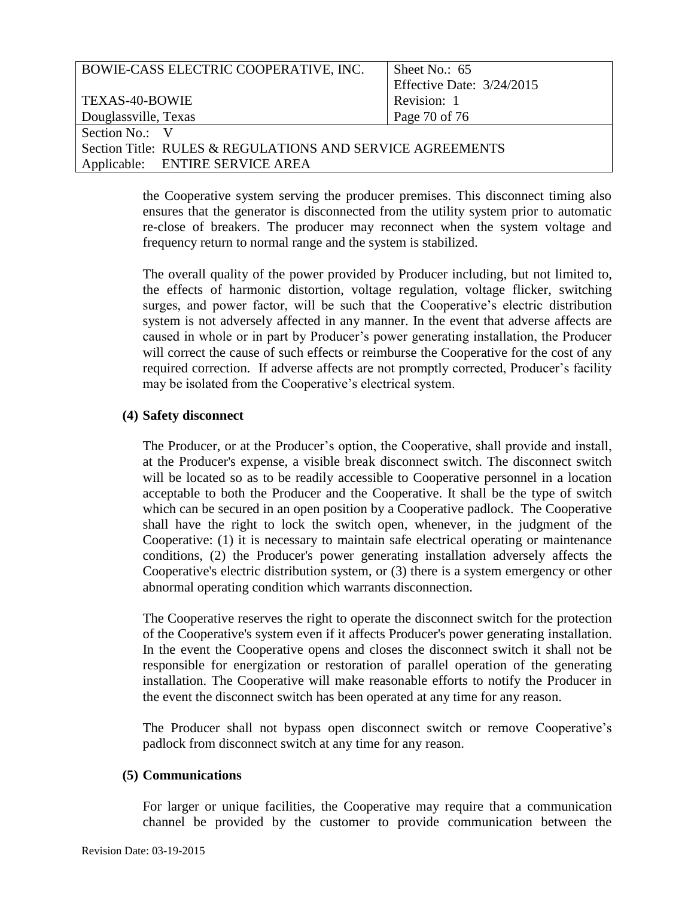| BOWIE-CASS ELECTRIC COOPERATIVE, INC.                     | Sheet No.: 65             |
|-----------------------------------------------------------|---------------------------|
|                                                           | Effective Date: 3/24/2015 |
| <b>TEXAS-40-BOWIE</b>                                     | Revision: 1               |
| Douglassville, Texas                                      | Page 70 of 76             |
| Section No.: V                                            |                           |
| Section Title: RULES & REGULATIONS AND SERVICE AGREEMENTS |                           |
| Applicable: ENTIRE SERVICE AREA                           |                           |

 the Cooperative system serving the producer premises. This disconnect timing also ensures that the generator is disconnected from the utility system prior to automatic re-close of breakers. The producer may reconnect when the system voltage and frequency return to normal range and the system is stabilized.

 The overall quality of the power provided by Producer including, but not limited to, the effects of harmonic distortion, voltage regulation, voltage flicker, switching surges, and power factor, will be such that the Cooperative's electric distribution system is not adversely affected in any manner. In the event that adverse affects are caused in whole or in part by Producer's power generating installation, the Producer will correct the cause of such effects or reimburse the Cooperative for the cost of any required correction. If adverse affects are not promptly corrected, Producer's facility may be isolated from the Cooperative's electrical system.

# **(4) Safety disconnect**

 The Producer, or at the Producer's option, the Cooperative, shall provide and install, will be located so as to be readily accessible to Cooperative personnel in a location acceptable to both the Producer and the Cooperative. It shall be the type of switch which can be secured in an open position by a Cooperative padlock. The Cooperative shall have the right to lock the switch open, whenever, in the judgment of the Cooperative: (1) it is necessary to maintain safe electrical operating or maintenance Cooperative's electric distribution system, or (3) there is a system emergency or other at the Producer's expense, a visible break disconnect switch. The disconnect switch conditions, (2) the Producer's power generating installation adversely affects the abnormal operating condition which warrants disconnection.

 The Cooperative reserves the right to operate the disconnect switch for the protection of the Cooperative's system even if it affects Producer's power generating installation. In the event the Cooperative opens and closes the disconnect switch it shall not be responsible for energization or restoration of parallel operation of the generating installation. The Cooperative will make reasonable efforts to notify the Producer in the event the disconnect switch has been operated at any time for any reason.

 padlock from disconnect switch at any time for any reason. The Producer shall not bypass open disconnect switch or remove Cooperative's

#### **(5) Communications**

 For larger or unique facilities, the Cooperative may require that a communication channel be provided by the customer to provide communication between the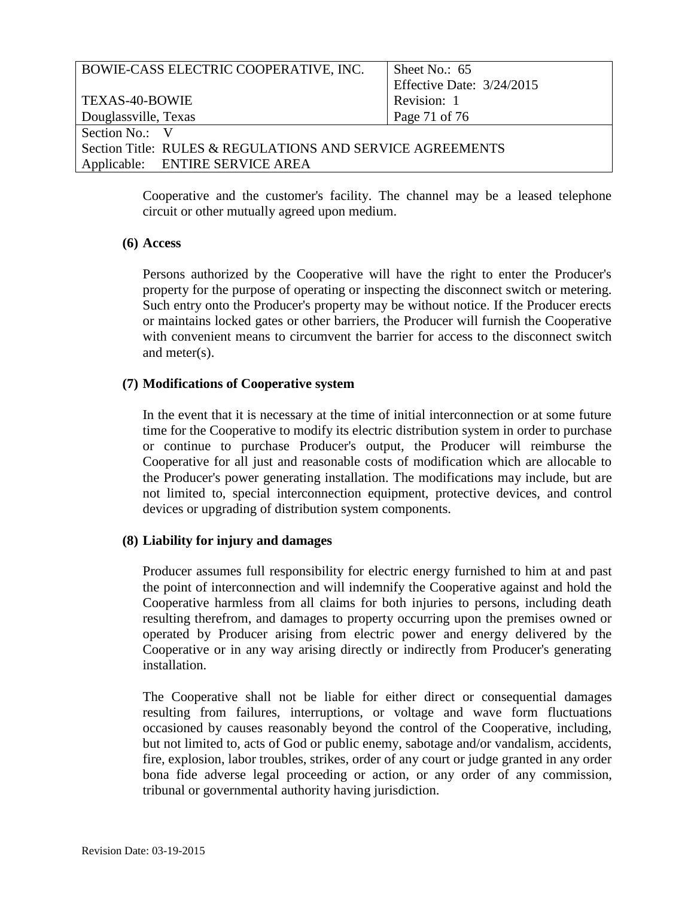| BOWIE-CASS ELECTRIC COOPERATIVE, INC.                     | Sheet No.: $65$           |
|-----------------------------------------------------------|---------------------------|
|                                                           | Effective Date: 3/24/2015 |
| TEXAS-40-BOWIE                                            | Revision: 1               |
| Douglassville, Texas                                      | Page 71 of 76             |
| Section No.: V                                            |                           |
| Section Title: RULES & REGULATIONS AND SERVICE AGREEMENTS |                           |
| Applicable: ENTIRE SERVICE AREA                           |                           |
|                                                           |                           |

 Cooperative and the customer's facility. The channel may be a leased telephone circuit or other mutually agreed upon medium.

# **(6) Access**

 Persons authorized by the Cooperative will have the right to enter the Producer's property for the purpose of operating or inspecting the disconnect switch or metering. Such entry onto the Producer's property may be without notice. If the Producer erects or maintains locked gates or other barriers, the Producer will furnish the Cooperative with convenient means to circumvent the barrier for access to the disconnect switch and meter(s).

# **(7) Modifications of Cooperative system**

 In the event that it is necessary at the time of initial interconnection or at some future or continue to purchase Producer's output, the Producer will reimburse the Cooperative for all just and reasonable costs of modification which are allocable to the Producer's power generating installation. The modifications may include, but are time for the Cooperative to modify its electric distribution system in order to purchase not limited to, special interconnection equipment, protective devices, and control devices or upgrading of distribution system components.

# **(8) Liability for injury and damages**

 Producer assumes full responsibility for electric energy furnished to him at and past the point of interconnection and will indemnify the Cooperative against and hold the Cooperative harmless from all claims for both injuries to persons, including death resulting therefrom, and damages to property occurring upon the premises owned or operated by Producer arising from electric power and energy delivered by the Cooperative or in any way arising directly or indirectly from Producer's generating installation.

 The Cooperative shall not be liable for either direct or consequential damages resulting from failures, interruptions, or voltage and wave form fluctuations but not limited to, acts of God or public enemy, sabotage and/or vandalism, accidents, fire, explosion, labor troubles, strikes, order of any court or judge granted in any order bona fide adverse legal proceeding or action, or any order of any commission, occasioned by causes reasonably beyond the control of the Cooperative, including, tribunal or governmental authority having jurisdiction.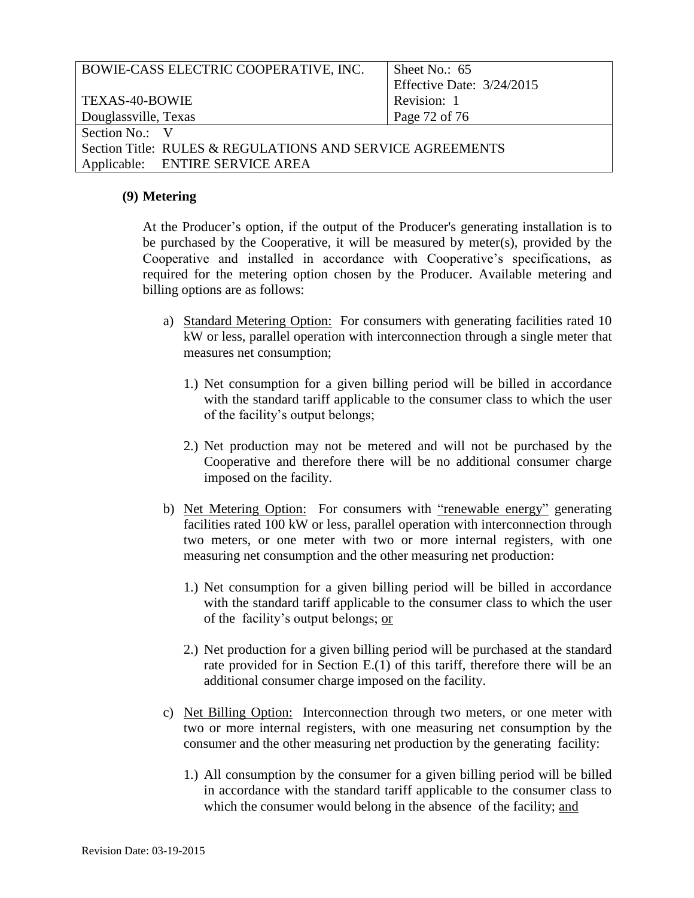| BOWIE-CASS ELECTRIC COOPERATIVE, INC.                     | Sheet No.: 65             |
|-----------------------------------------------------------|---------------------------|
|                                                           | Effective Date: 3/24/2015 |
| TEXAS-40-BOWIE                                            | Revision: 1               |
| Douglassville, Texas                                      | Page 72 of 76             |
| Section No.: V                                            |                           |
| Section Title: RULES & REGULATIONS AND SERVICE AGREEMENTS |                           |
| Applicable: ENTIRE SERVICE AREA                           |                           |

#### **(9) Metering**

 At the Producer's option, if the output of the Producer's generating installation is to be purchased by the Cooperative, it will be measured by meter(s), provided by the Cooperative and installed in accordance with Cooperative's specifications, as required for the metering option chosen by the Producer. Available metering and billing options are as follows:

- a) Standard Metering Option: For consumers with generating facilities rated 10 kW or less, parallel operation with interconnection through a single meter that measures net consumption;
	- 1.) Net consumption for a given billing period will be billed in accordance with the standard tariff applicable to the consumer class to which the user of the facility's output belongs;
	- 2.) Net production may not be metered and will not be purchased by the Cooperative and therefore there will be no additional consumer charge imposed on the facility.
- b) Net Metering Option: For consumers with "renewable energy" generating facilities rated 100 kW or less, parallel operation with interconnection through two meters, or one meter with two or more internal registers, with one measuring net consumption and the other measuring net production:
	- measuring net consumption and the other measuring net production:<br>
	1.) Net consumption for a given billing period will be billed in accordance of the facility's output belongs; or with the standard tariff applicable to the consumer class to which the user
	- 2.) Net production for a given billing period will be purchased at the standard rate provided for in Section E.(1) of this tariff, therefore there will be an additional consumer charge imposed on the facility.
- c) Net Billing Option: Interconnection through two meters, or one meter with two or more internal registers, with one measuring net consumption by the consumer and the other measuring net production by the generating facility:
	- 1.) All consumption by the consumer for a given billing period will be billed which the consumer would belong in the absence of the facility; and in accordance with the standard tariff applicable to the consumer class to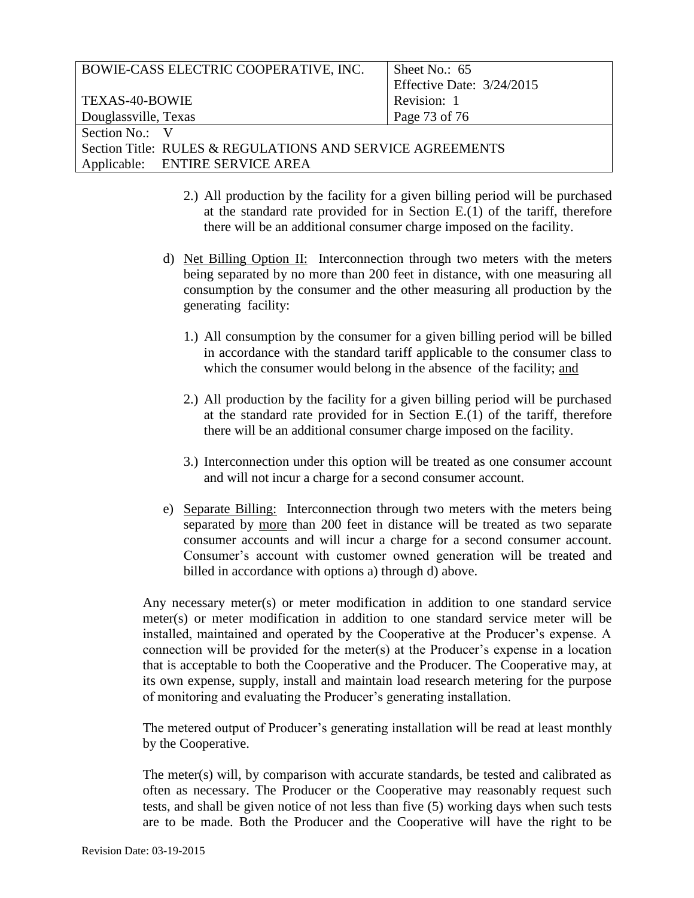| BOWIE-CASS ELECTRIC COOPERATIVE, INC.                     | Sheet No.: $65$             |
|-----------------------------------------------------------|-----------------------------|
|                                                           | Effective Date: $3/24/2015$ |
| <b>TEXAS-40-BOWIE</b>                                     | Revision: 1                 |
| Douglassville, Texas                                      | Page 73 of 76               |
| Section No.: V                                            |                             |
| Section Title: RULES & REGULATIONS AND SERVICE AGREEMENTS |                             |
| Applicable: ENTIRE SERVICE AREA                           |                             |

- 2.) All production by the facility for a given billing period will be purchased at the standard rate provided for in Section E.(1) of the tariff, therefore there will be an additional consumer charge imposed on the facility.
- d) Net Billing Option II: Interconnection through two meters with the meters being separated by no more than 200 feet in distance, with one measuring all consumption by the consumer and the other measuring all production by the generating facility:
	- 1.) All consumption by the consumer for a given billing period will be billed which the consumer would belong in the absence of the facility; and in accordance with the standard tariff applicable to the consumer class to
	- 2.) All production by the facility for a given billing period will be purchased at the standard rate provided for in Section E.(1) of the tariff, therefore there will be an additional consumer charge imposed on the facility.
	- 3.) Interconnection under this option will be treated as one consumer account and will not incur a charge for a second consumer account.
- and will not incur a charge for a second consumer account.<br>
e) Separate Billing: Interconnection through two meters with the meters being separated by more than 200 feet in distance will be treated as two separate consumer accounts and will incur a charge for a second consumer account. Consumer's account with customer owned generation will be treated and billed in accordance with options a) through d) above.

 Any necessary meter(s) or meter modification in addition to one standard service meter(s) or meter modification in addition to one standard service meter will be connection will be provided for the meter(s) at the Producer's expense in a location that is acceptable to both the Cooperative and the Producer. The Cooperative may, at its own expense, supply, install and maintain load research metering for the purpose installed, maintained and operated by the Cooperative at the Producer's expense. A of monitoring and evaluating the Producer's generating installation.

 The metered output of Producer's generating installation will be read at least monthly by the Cooperative.

 The meter(s) will, by comparison with accurate standards, be tested and calibrated as often as necessary. The Producer or the Cooperative may reasonably request such tests, and shall be given notice of not less than five (5) working days when such tests are to be made. Both the Producer and the Cooperative will have the right to be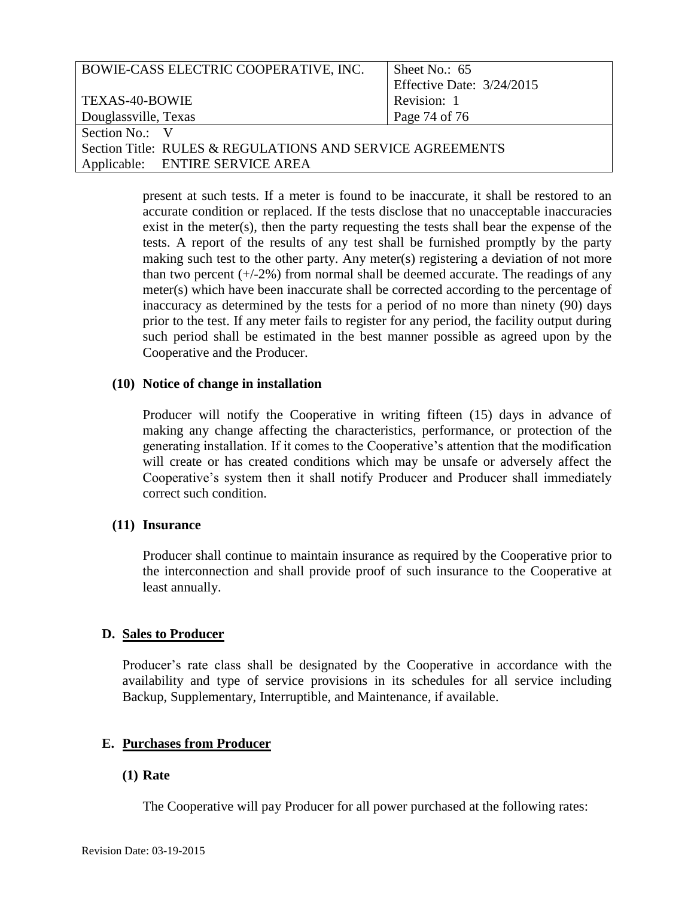| BOWIE-CASS ELECTRIC COOPERATIVE, INC.                     | Sheet No.: $65$           |
|-----------------------------------------------------------|---------------------------|
|                                                           | Effective Date: 3/24/2015 |
| TEXAS-40-BOWIE                                            | Revision: 1               |
| Douglassville, Texas                                      | Page 74 of 76             |
| Section No.: V                                            |                           |
| Section Title: RULES & REGULATIONS AND SERVICE AGREEMENTS |                           |
| Applicable: ENTIRE SERVICE AREA                           |                           |

 present at such tests. If a meter is found to be inaccurate, it shall be restored to an exist in the meter(s), then the party requesting the tests shall bear the expense of the tests. A report of the results of any test shall be furnished promptly by the party making such test to the other party. Any meter(s) registering a deviation of not more than two percent (+/-2%) from normal shall be deemed accurate. The readings of any meter(s) which have been inaccurate shall be corrected according to the percentage of inaccuracy as determined by the tests for a period of no more than ninety (90) days prior to the test. If any meter fails to register for any period, the facility output during such period shall be estimated in the best manner possible as agreed upon by the accurate condition or replaced. If the tests disclose that no unacceptable inaccuracies Cooperative and the Producer.

#### **(10) Notice of change in installation**

 Producer will notify the Cooperative in writing fifteen (15) days in advance of making any change affecting the characteristics, performance, or protection of the generating installation. If it comes to the Cooperative's attention that the modification will create or has created conditions which may be unsafe or adversely affect the Cooperative's system then it shall notify Producer and Producer shall immediately correct such condition.

# **(11) Insurance**

 Producer shall continue to maintain insurance as required by the Cooperative prior to the interconnection and shall provide proof of such insurance to the Cooperative at least annually.

# **D. Sales to Producer**

 Producer's rate class shall be designated by the Cooperative in accordance with the availability and type of service provisions in its schedules for all service including Backup, Supplementary, Interruptible, and Maintenance, if available.

# **E. Purchases from Producer**

# **(1) Rate**

The Cooperative will pay Producer for all power purchased at the following rates: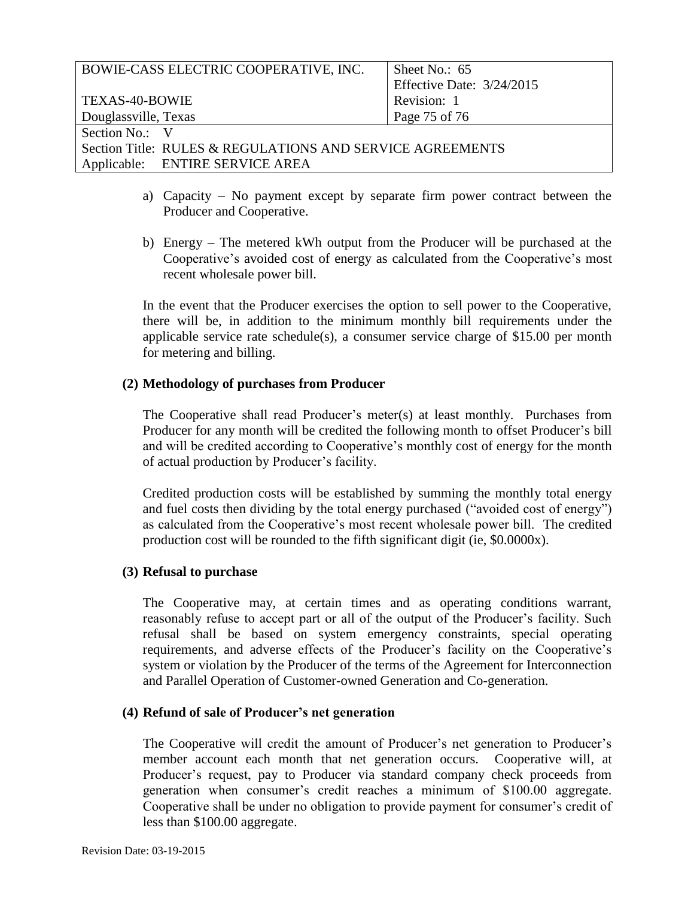| BOWIE-CASS ELECTRIC COOPERATIVE, INC.                     | Sheet No.: $65$           |
|-----------------------------------------------------------|---------------------------|
|                                                           | Effective Date: 3/24/2015 |
| TEXAS-40-BOWIE                                            | Revision: 1               |
| Douglassville, Texas                                      | Page 75 of 76             |
| Section No.: V                                            |                           |
| Section Title: RULES & REGULATIONS AND SERVICE AGREEMENTS |                           |
| Applicable: ENTIRE SERVICE AREA                           |                           |

- a) Capacity No payment except by separate firm power contract between the Producer and Cooperative.
- b) Energy The metered kWh output from the Producer will be purchased at the Cooperative's avoided cost of energy as calculated from the Cooperative's most recent wholesale power bill.

 there will be, in addition to the minimum monthly bill requirements under the applicable service rate schedule(s), a consumer service charge of \$15.00 per month In the event that the Producer exercises the option to sell power to the Cooperative, for metering and billing.

#### **(2) Methodology of purchases from Producer**

 Producer for any month will be credited the following month to offset Producer's bill and will be credited according to Cooperative's monthly cost of energy for the month of actual production by Producer's facility. The Cooperative shall read Producer's meter(s) at least monthly. Purchases from

 Credited production costs will be established by summing the monthly total energy and fuel costs then dividing by the total energy purchased ("avoided cost of energy") as calculated from the Cooperative's most recent wholesale power bill. The credited production cost will be rounded to the fifth significant digit (ie, \$0.0000x).

#### **(3) Refusal to purchase**

 The Cooperative may, at certain times and as operating conditions warrant, reasonably refuse to accept part or all of the output of the Producer's facility. Such refusal shall be based on system emergency constraints, special operating requirements, and adverse effects of the Producer's facility on the Cooperative's system or violation by the Producer of the terms of the Agreement for Interconnection and Parallel Operation of Customer-owned Generation and Co-generation.

# **(4) Refund of sale of Producer's net generation**

 The Cooperative will credit the amount of Producer's net generation to Producer's generation when consumer's credit reaches a minimum of \$100.00 aggregate. Cooperative shall be under no obligation to provide payment for consumer's credit of member account each month that net generation occurs. Cooperative will, at Producer's request, pay to Producer via standard company check proceeds from less than \$100.00 aggregate.